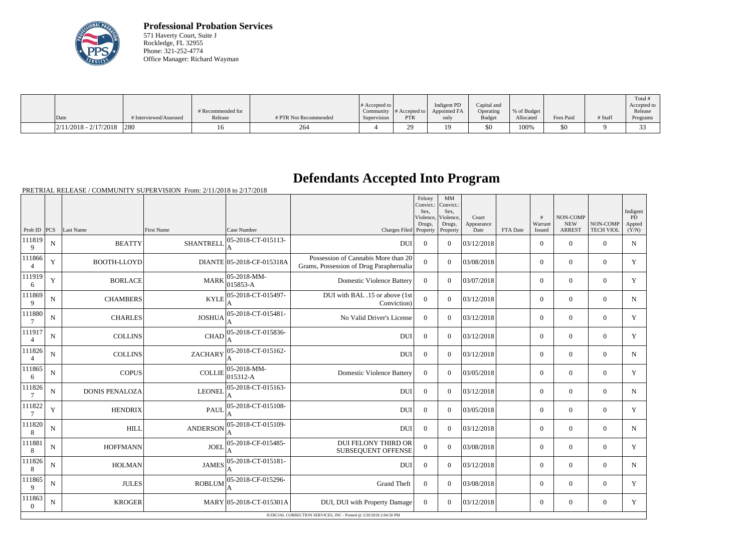

**Professional Probation Services** 571 Haverty Court, Suite J Rockledge, FL 32955 Phone: 321-252-4774 Office Manager: Richard Wayman

|                                                                                       |                        | # Recommended for |                       | # Accepted to $\vert$ |            | Indigent PD<br>Community $ #$ Accepted to $ $ Appointed FA | Capital and<br>Operating | % of Budget |           |         | Total<br>Accepted to<br>Release |
|---------------------------------------------------------------------------------------|------------------------|-------------------|-----------------------|-----------------------|------------|------------------------------------------------------------|--------------------------|-------------|-----------|---------|---------------------------------|
| Date                                                                                  | # Interviewed/Assessed | Release           | # PTR Not Recommended | Supervision           | <b>PTR</b> | only                                                       | <b>Budget</b>            | Allocated   | Fees Paid | # Staff | Programs                        |
| $\left  \frac{2}{11/2018} - \frac{2}{17/2018} \right  \left  \frac{280}{280} \right $ |                        |                   | 264                   |                       | nn<br>⊷.   |                                                            | \$0                      | 100%        | \$0       |         |                                 |

## **Defendants Accepted Into Program**

PRETRIAL RELEASE / COMMUNITY SUPERVISION From: 2/11/2018 to 2/17/2018

|                    |             |                                                                    |                   |                                 |                                                                                | Felony<br>Convict.:<br>Sex.<br>Violence, | MM<br>Convict.:<br>Sex,<br>Violence, | Court              |          | #                 | NON-COMP                    |                              | Indigent<br><b>PD</b> |
|--------------------|-------------|--------------------------------------------------------------------|-------------------|---------------------------------|--------------------------------------------------------------------------------|------------------------------------------|--------------------------------------|--------------------|----------|-------------------|-----------------------------|------------------------------|-----------------------|
| Prob ID $ PCS $    |             | Last Name                                                          | <b>First Name</b> | Case Number                     | Charges Filed Property                                                         | Drugs,                                   | Drugs,<br>Property                   | Appearance<br>Date | FTA Date | Warrant<br>Issued | <b>NEW</b><br><b>ARREST</b> | NON-COMP<br><b>TECH VIOL</b> | Appted<br>(Y/N)       |
| 111819<br>9        | ${\bf N}$   | <b>BEATTY</b>                                                      | <b>SHANTRELL</b>  | 05-2018-CT-015113-<br>A         | <b>DUI</b>                                                                     | $\Omega$                                 | $\theta$                             | 03/12/2018         |          | $\overline{0}$    | $\mathbf{0}$                | $\overline{0}$               | $\mathbf N$           |
| 111866             | Y           | <b>BOOTH-LLOYD</b>                                                 |                   | DIANTE 05-2018-CF-015318A       | Possession of Cannabis More than 20<br>Grams, Possession of Drug Paraphernalia | $\overline{0}$                           | $\theta$                             | 03/08/2018         |          | $\overline{0}$    | $\mathbf{0}$                | $\overline{0}$               | Y                     |
| 111919<br>6        | $\mathbf Y$ | <b>BORLACE</b>                                                     | <b>MARK</b>       | $ 05 - 2018 - MM -$<br>015853-A | <b>Domestic Violence Battery</b>                                               | $\theta$                                 | $\Omega$                             | 03/07/2018         |          | $\overline{0}$    | $\mathbf{0}$                | $\overline{0}$               | $\mathbf Y$           |
| 111869<br>9        | $\mathbf N$ | <b>CHAMBERS</b>                                                    | <b>KYLE</b>       | 05-2018-CT-015497-              | DUI with BAL .15 or above (1st<br>Conviction)                                  | $\overline{0}$                           | $\overline{0}$                       | 03/12/2018         |          | $\overline{0}$    | $\mathbf{0}$                | $\mathbf{0}$                 | $N_{\rm}$             |
| 111880             | N           | <b>CHARLES</b>                                                     | <b>JOSHUA</b>     | 05-2018-CT-015481-              | No Valid Driver's License                                                      | $\theta$                                 | $\theta$                             | 03/12/2018         |          | $\overline{0}$    | $\theta$                    | $\theta$                     | Y                     |
| 111917             | $\mathbf N$ | <b>COLLINS</b>                                                     | <b>CHAD</b>       | 05-2018-CT-015836-              | <b>DUI</b>                                                                     | $\mathbf{0}$                             | $\theta$                             | 03/12/2018         |          | $\overline{0}$    | $\mathbf{0}$                | $\mathbf{0}$                 | Y                     |
| 111826             | $\mathbf N$ | <b>COLLINS</b>                                                     | <b>ZACHARY</b>    | 05-2018-CT-015162-              | <b>DUI</b>                                                                     | $\Omega$                                 | $\Omega$                             | 03/12/2018         |          | $\overline{0}$    | $\theta$                    | $\overline{0}$               | $\mathbf N$           |
| 111865<br>6        | $\mathbf N$ | <b>COPUS</b>                                                       | <b>COLLIE</b>     | 05-2018-MM-<br>015312-A         | <b>Domestic Violence Battery</b>                                               | $\Omega$                                 | $\Omega$                             | 03/05/2018         |          | $\overline{0}$    | $\mathbf{0}$                | $\mathbf{0}$                 | Y                     |
| 111826<br>7        | N           | <b>DONIS PENALOZA</b>                                              | <b>LEONEL</b>     | 05-2018-CT-015163-<br>A         | <b>DUI</b>                                                                     | $\Omega$                                 | $\Omega$                             | 03/12/2018         |          | $\overline{0}$    | $\theta$                    | $\theta$                     | $\mathbf N$           |
| 111822             | $\mathbf Y$ | <b>HENDRIX</b>                                                     | <b>PAUL</b>       | 05-2018-CT-015108-              | <b>DUI</b>                                                                     | $\theta$                                 | $\overline{0}$                       | 03/05/2018         |          | $\overline{0}$    | $\overline{0}$              | $\overline{0}$               | Y                     |
| 111820<br>8        | $\mathbf N$ | <b>HILL</b>                                                        | <b>ANDERSON</b>   | 05-2018-CT-015109-              | <b>DUI</b>                                                                     | $\overline{0}$                           | $\Omega$                             | 03/12/2018         |          | $\overline{0}$    | $\mathbf{0}$                | $\mathbf{0}$                 | N                     |
| 111881<br>8        | ${\bf N}$   | <b>HOFFMANN</b>                                                    | <b>JOEL</b>       | 05-2018-CF-015485-              | DUI FELONY THIRD OR<br><b>SUBSEQUENT OFFENSE</b>                               | $\overline{0}$                           | $\overline{0}$                       | 03/08/2018         |          | $\overline{0}$    | $\mathbf{0}$                | $\boldsymbol{0}$             | Y                     |
| 111826<br>8        | $\mathbf N$ | <b>HOLMAN</b>                                                      | <b>JAMES</b>      | 05-2018-CT-015181-              | <b>DUI</b>                                                                     | $\theta$                                 | $\Omega$                             | 03/12/2018         |          | $\overline{0}$    | $\mathbf{0}$                | $\overline{0}$               | $\mathbf N$           |
| 111865<br>9        | N           | <b>JULES</b>                                                       | <b>ROBLUM</b>     | 05-2018-CF-015296-              | <b>Grand Theft</b>                                                             | $\theta$                                 | $\theta$                             | 03/08/2018         |          | $\overline{0}$    | $\theta$                    | $\overline{0}$               | Y                     |
| 111863<br>$\theta$ | N           | <b>KROGER</b>                                                      |                   | MARY 05-2018-CT-015301A         | DUI, DUI with Property Damage                                                  | $\Omega$                                 | $\Omega$                             | 03/12/2018         |          | $\overline{0}$    | $\theta$                    | $\overline{0}$               | Y                     |
|                    |             | JUDICIAL CORRECTION SERVICES, INC - Printed @ 2/20/2018 2:04:50 PM |                   |                                 |                                                                                |                                          |                                      |                    |          |                   |                             |                              |                       |